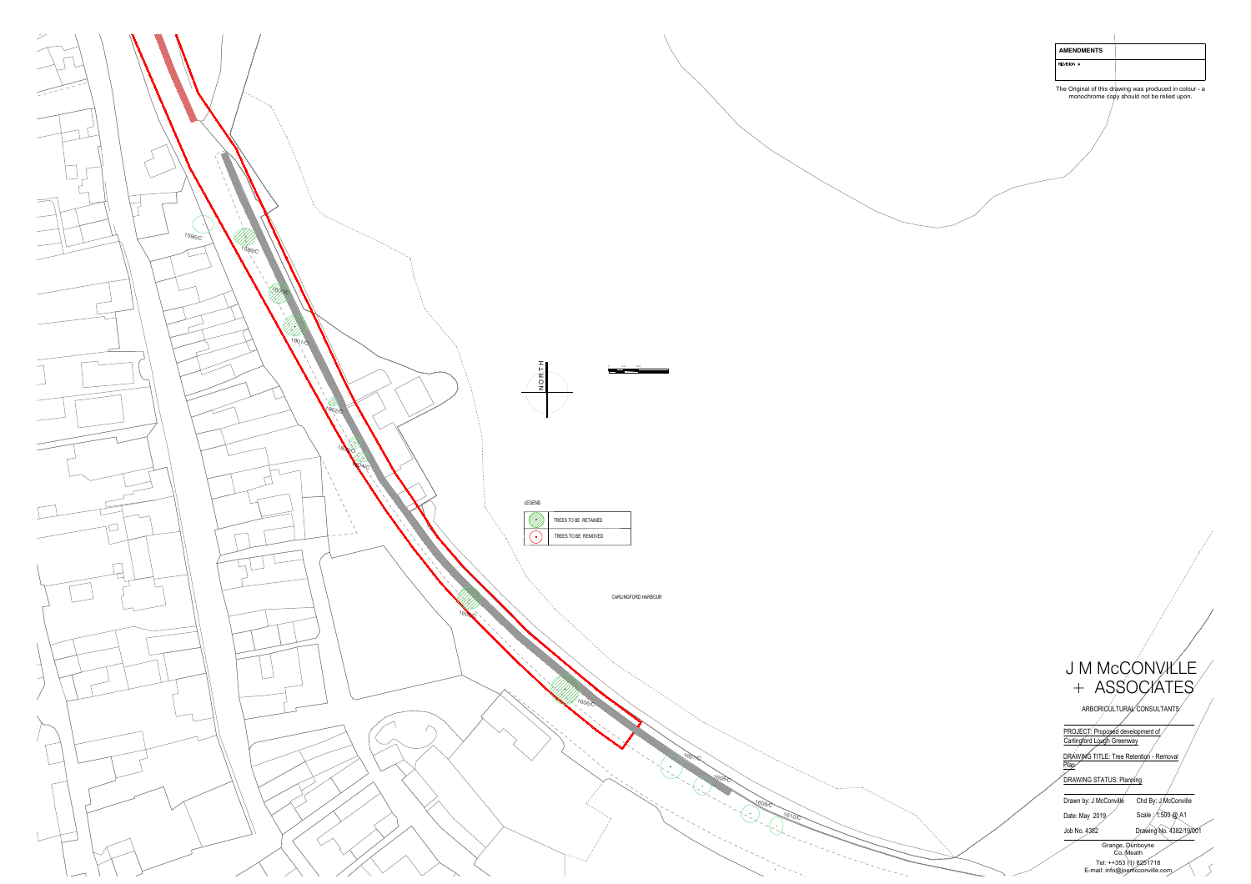

| <b>AMENDMENTS</b><br>REVISION A                 |                                                                                                       |
|-------------------------------------------------|-------------------------------------------------------------------------------------------------------|
|                                                 |                                                                                                       |
|                                                 | The Original of this drawing was produced in colour - a<br>monochrome copy should not be relied upon. |
|                                                 |                                                                                                       |
|                                                 |                                                                                                       |
|                                                 |                                                                                                       |
|                                                 |                                                                                                       |
|                                                 |                                                                                                       |
|                                                 |                                                                                                       |
|                                                 |                                                                                                       |
|                                                 |                                                                                                       |
|                                                 |                                                                                                       |
|                                                 |                                                                                                       |
|                                                 |                                                                                                       |
|                                                 |                                                                                                       |
|                                                 |                                                                                                       |
|                                                 |                                                                                                       |
|                                                 |                                                                                                       |
|                                                 |                                                                                                       |
|                                                 |                                                                                                       |
|                                                 |                                                                                                       |
|                                                 |                                                                                                       |
|                                                 |                                                                                                       |
|                                                 |                                                                                                       |
|                                                 |                                                                                                       |
|                                                 |                                                                                                       |
|                                                 |                                                                                                       |
|                                                 |                                                                                                       |
|                                                 |                                                                                                       |
|                                                 |                                                                                                       |
|                                                 |                                                                                                       |
|                                                 |                                                                                                       |
|                                                 |                                                                                                       |
|                                                 |                                                                                                       |
|                                                 |                                                                                                       |
|                                                 |                                                                                                       |
|                                                 | J M MCCONVILLE                                                                                        |
|                                                 | + ASSOCIATES                                                                                          |
|                                                 | ARBORICULTURAL CONSULTANTS                                                                            |
| PROJECT: Proposed development of                |                                                                                                       |
| Carlingford Lough Greenway                      |                                                                                                       |
| DRAWING TITLE: Tree Retention - Removal<br>Plan |                                                                                                       |
| <b>DRAWING STATUS: Planning</b>                 |                                                                                                       |
| Drawn by: J McConville                          | Chd By: J/McConville                                                                                  |
| Date: May 2019                                  | Scale : 1:500 @ A1                                                                                    |
| Job No. 4382                                    | Drawing No. 4382/19/001                                                                               |
|                                                 | Grange, Dunboyne<br>Co. Meath                                                                         |
|                                                 | Tel: ++353 (1) 8251718<br>E-mail: info@joemcconville.com                                              |

#### J M McCONVILLE<br>+ ASSOCIATES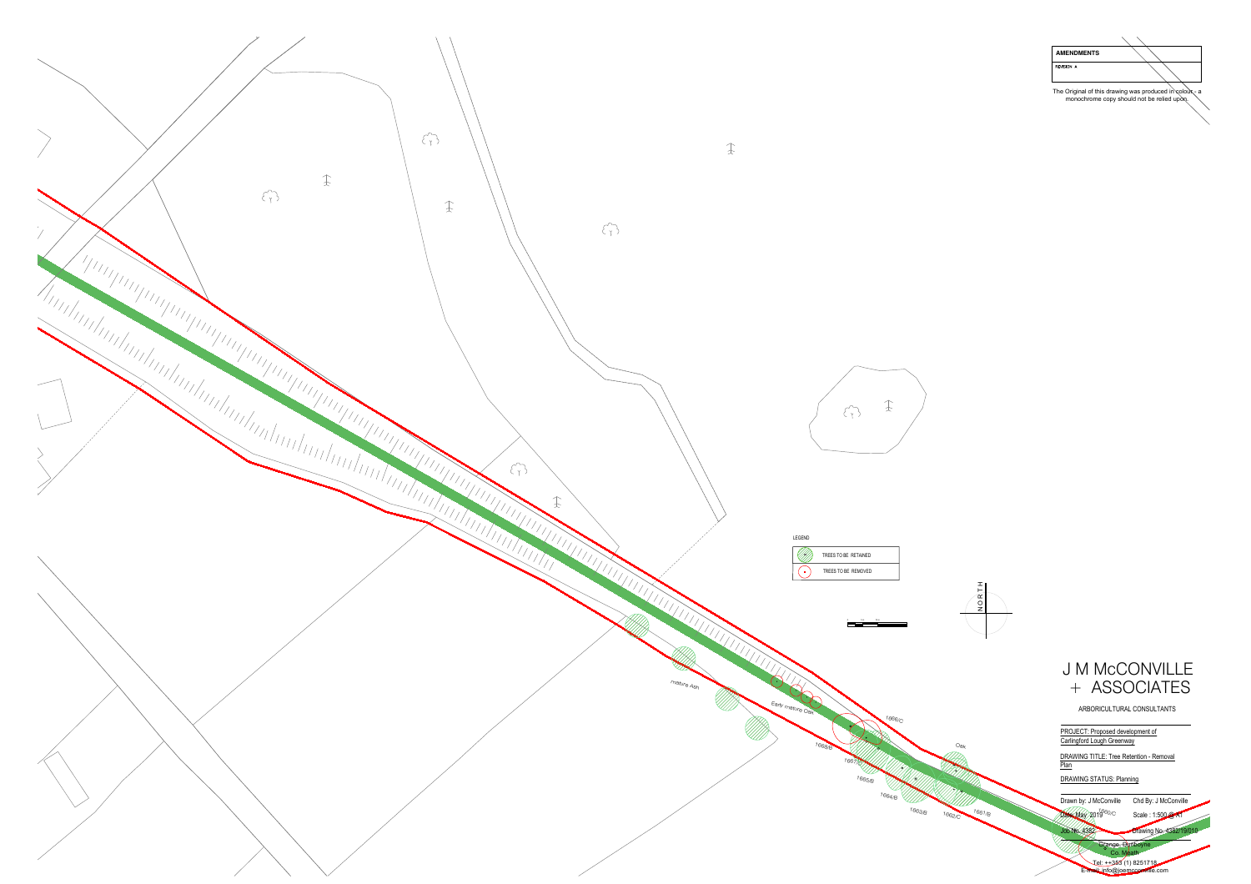

| <b>AMENDMENTS</b>                                      |                                                        |
|--------------------------------------------------------|--------------------------------------------------------|
| <b>REVISION A</b>                                      |                                                        |
|                                                        | The Original of this drawing was produced in colour- a |
|                                                        | monochrome copy should not be relied upon.             |
|                                                        |                                                        |
|                                                        |                                                        |
|                                                        |                                                        |
|                                                        |                                                        |
|                                                        |                                                        |
|                                                        |                                                        |
|                                                        |                                                        |
|                                                        |                                                        |
|                                                        |                                                        |
|                                                        |                                                        |
|                                                        |                                                        |
|                                                        |                                                        |
|                                                        |                                                        |
|                                                        |                                                        |
|                                                        |                                                        |
|                                                        |                                                        |
|                                                        |                                                        |
|                                                        |                                                        |
|                                                        |                                                        |
|                                                        |                                                        |
|                                                        |                                                        |
|                                                        |                                                        |
|                                                        |                                                        |
|                                                        |                                                        |
|                                                        |                                                        |
|                                                        |                                                        |
|                                                        |                                                        |
|                                                        |                                                        |
|                                                        |                                                        |
|                                                        |                                                        |
|                                                        | <b>J M MCCONVILLE</b>                                  |
| $+$                                                    | <b>ASSOCIATES</b>                                      |
|                                                        | ARBORICULTURAL CONSULTANTS                             |
| PROJECT: Proposed development of                       |                                                        |
| Carlingford Lough Greenway                             |                                                        |
| <b>DRAWING TITLE: Tree Retention - Removal</b><br>Plan |                                                        |
| <b>DRAWING STATUS: Planning</b>                        |                                                        |
| Drawn by: J McConville                                 | Chd By: J McConville                                   |
| $2019^{660/C}$<br>Date: May                            | Scale: 1:500 @ A1                                      |
| Job No. 4382                                           | Drawing No. 4382/19/010<br>Grange, Dunboyne            |
|                                                        | Co. Meath<br><u> Jel: ++353 (1)</u> 8251718            |
|                                                        | E-mail: info@joemcconville.com                         |



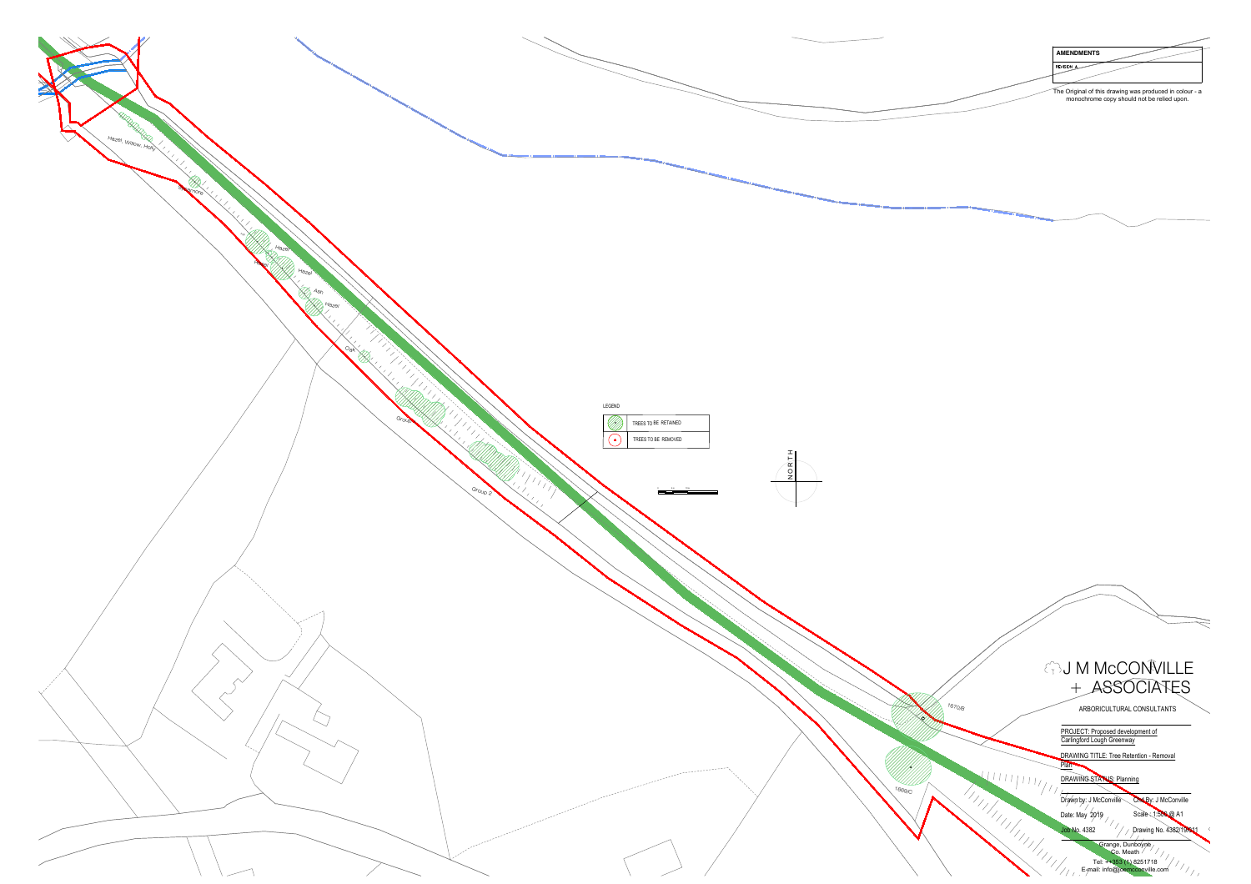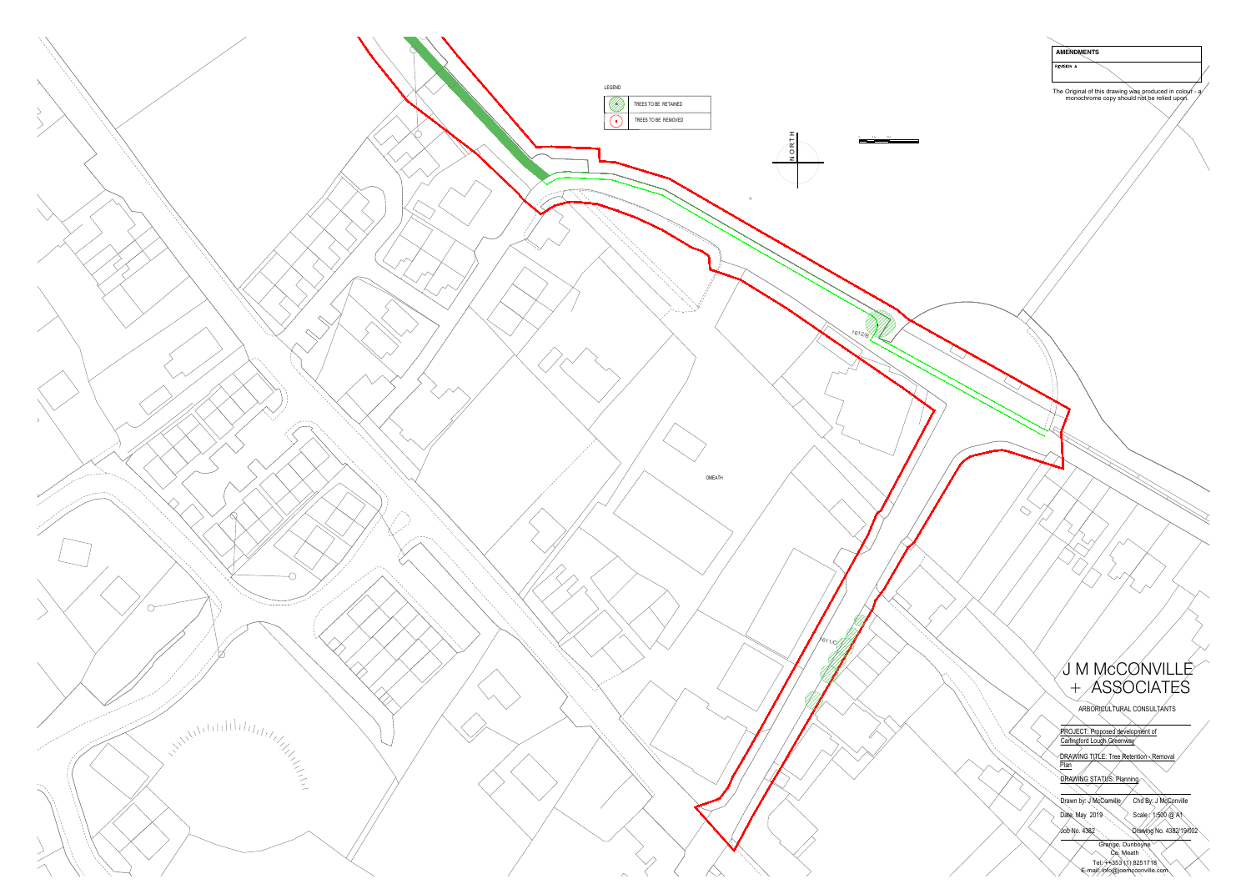![](_page_3_Figure_0.jpeg)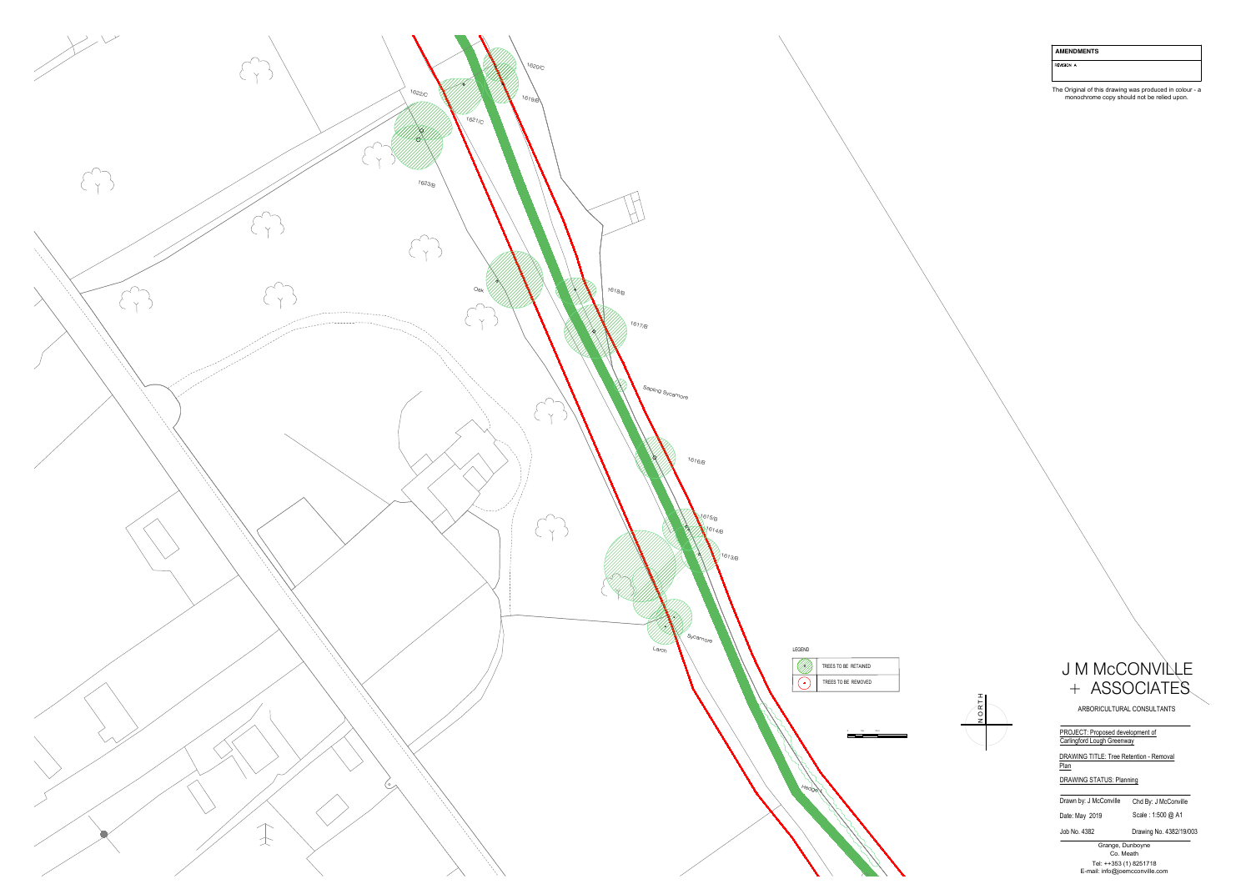![](_page_4_Figure_0.jpeg)

| <b>AMENDMENTS</b> |  |
|-------------------|--|
|-------------------|--|

REVISION A

The Original of this drawing was produced in colour - a<br>monochrome copy should not be relied upon.

![](_page_4_Picture_4.jpeg)

### U M MCCONVILLE<br>
+ ASSOCIATES<br>
ARBORICULTURAL CONSULTANTS<br>
PROJECT: Proposed development of<br>
Carlingford Lough Greenway AMENDMENTS<br>
WEST 4.<br>
The Original of this disading was produced in colour - a<br>
monochiome copy should not be relied uport.<br>
ARBORCULTURAL CONSULTANTS<br>
PROJECT: Proposed development of<br>
DRAWING STATUS: Primering<br>
DRAWING ST

ARBORICULTURAL CONSULTANTS<br>PROJECT: Proposed development of<br>Carlingford Lough Greenway

DRAWING TITLE: Tree Retention - Removal<br>
Plan<br>
DRAWING STATUS: Planning<br>
Drawn by: J McConville Chd By: J McConville

Date: May 2019 Scale : 1:500 @ A1<br>Job No. 4382 Drawing No. 4382/19/003<br>Grange, Dunboyne<br>Co. Meath<br>Tel: ++353 (1) 8251718<br>E-mail: info@joemcconville.com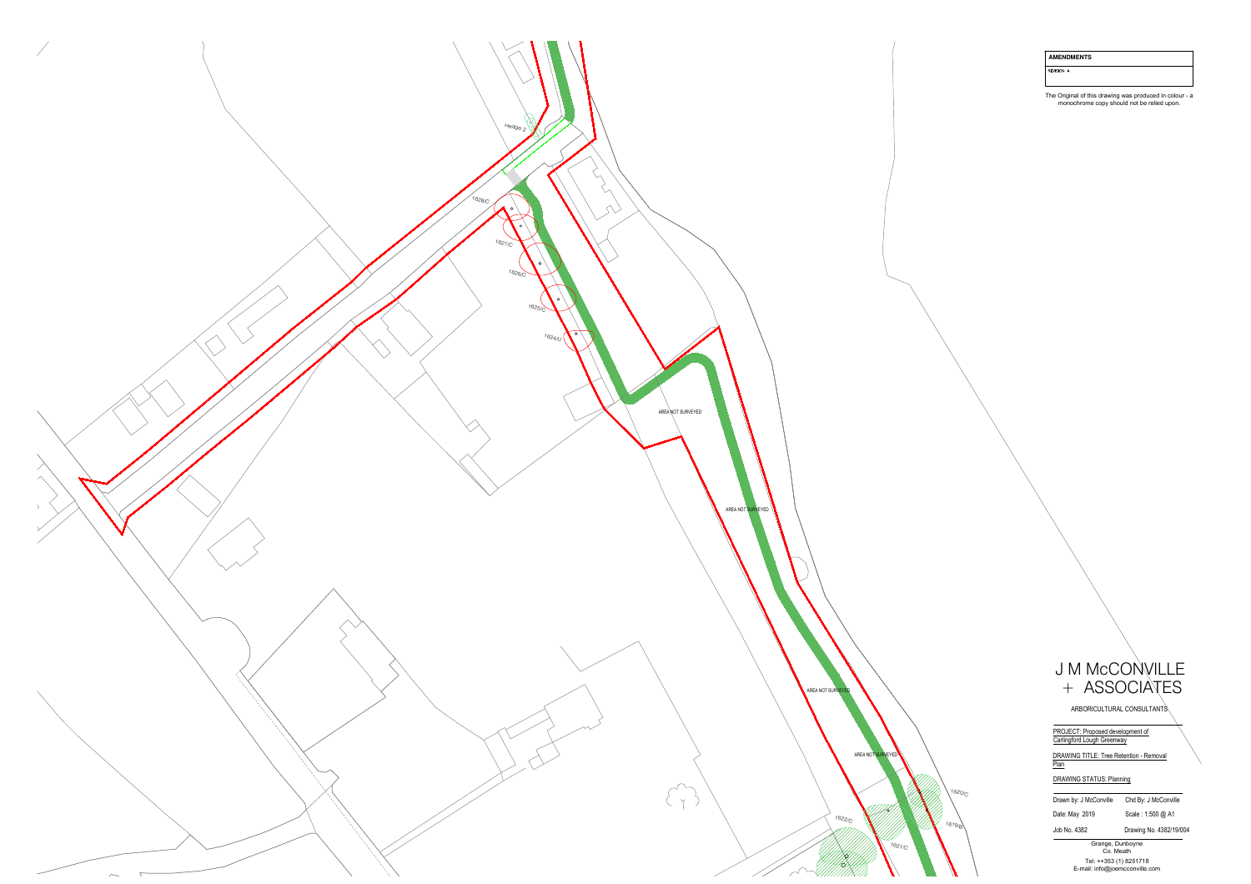![](_page_5_Picture_0.jpeg)

|  | <b>AMENDMENTS</b> |  |
|--|-------------------|--|
|  |                   |  |

REVISION A

# AMENDMENTS<br>
The Original of this distinctive varia produced in colour - a<br>
The Original of this distinctive varia produced in colour - a<br>
monoconomic capy should not be realist upon.<br>
PROJECT: Proposed development of<br>
DRAW

Date: May 2019 Scale : 1:500 @ A1<br>
Job No. 4382 Drawing No. 4382/19/004<br>
Grange, Dunboyne<br>
Co. Meath<br>
Tel: ++353 (1) 8251718<br>
E-mail: info@joemcconville.com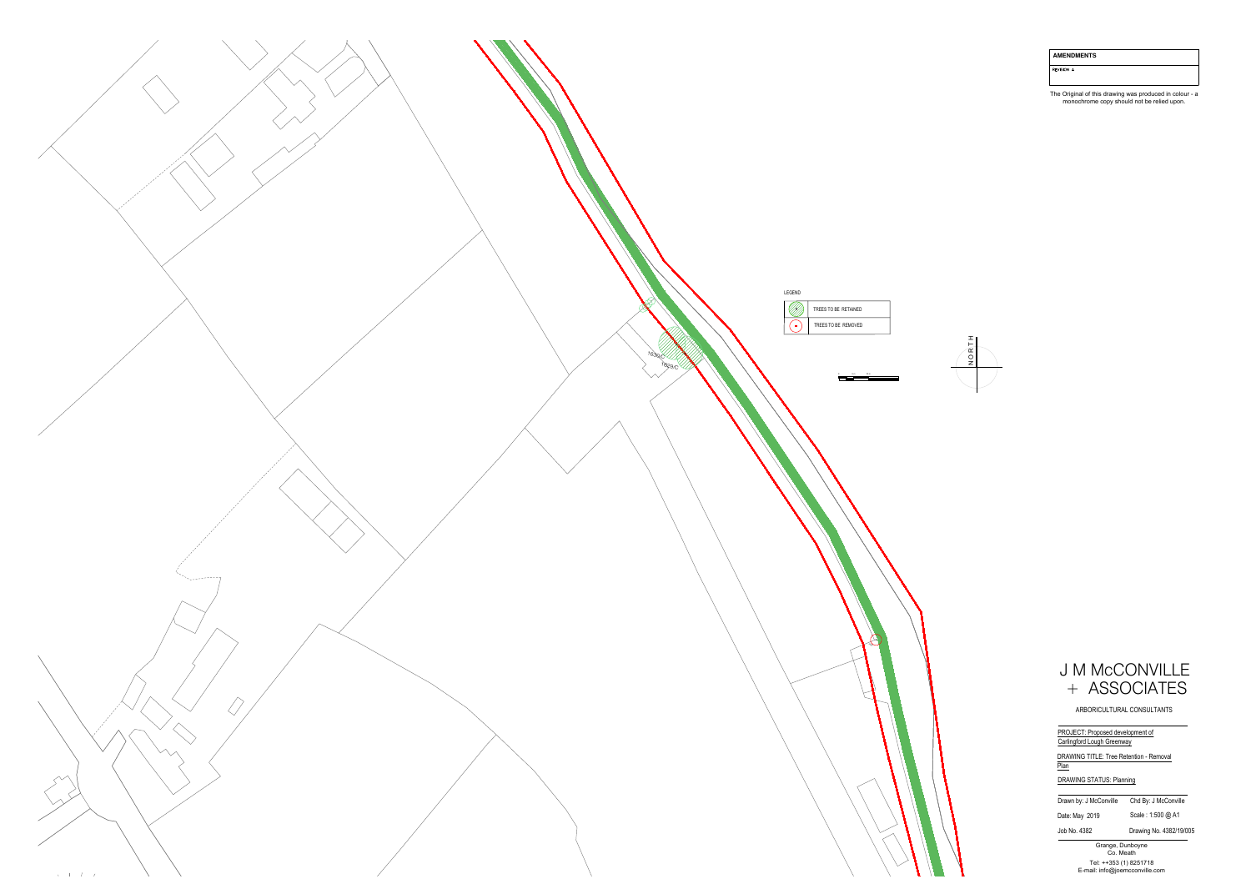![](_page_6_Picture_0.jpeg)

AMENDMENTS

REVISION A

The Original of this drawing was produced in colour - a<br>monochrome copy should not be relied upon.

![](_page_6_Figure_4.jpeg)

### U M MCCONVILLE<br>
+ ASSOCIATES<br>
ARBORICULTURAL CONSULTANTS<br>
PROJECT: Proposed development of<br>Carlingford Lough Greenway AMENDMENTS<br>
The Orginal of this distance variable conduction<br>
The Orginal of this distance variable conduction<br>
monocletionne copy should not be relied upon.<br>
MacAMENG TIME: The Relation - Ramond<br>
<u>DRAWING STATUS</u><br>
Distanc

ARBORICULTURAL CONSULTANTS<br>PROJECT: Proposed development of<br>Carlingford Lough Greenway

DRAWING TITLE: Tree Retention - Removal<br>
Plan<br>
DRAWING STATUS: Planning<br>
Drawn by: J McConville Chd By: J McConville

Date: May 2019 Scale : 1:500 @ A1<br>
Job No. 4382 Drawing No. 4382/19/005<br>
Grange, Dunboyne<br>
Co. Meath<br>
Tel: ++353 (1) 8251718<br>
E-mail: info@joemcconville.com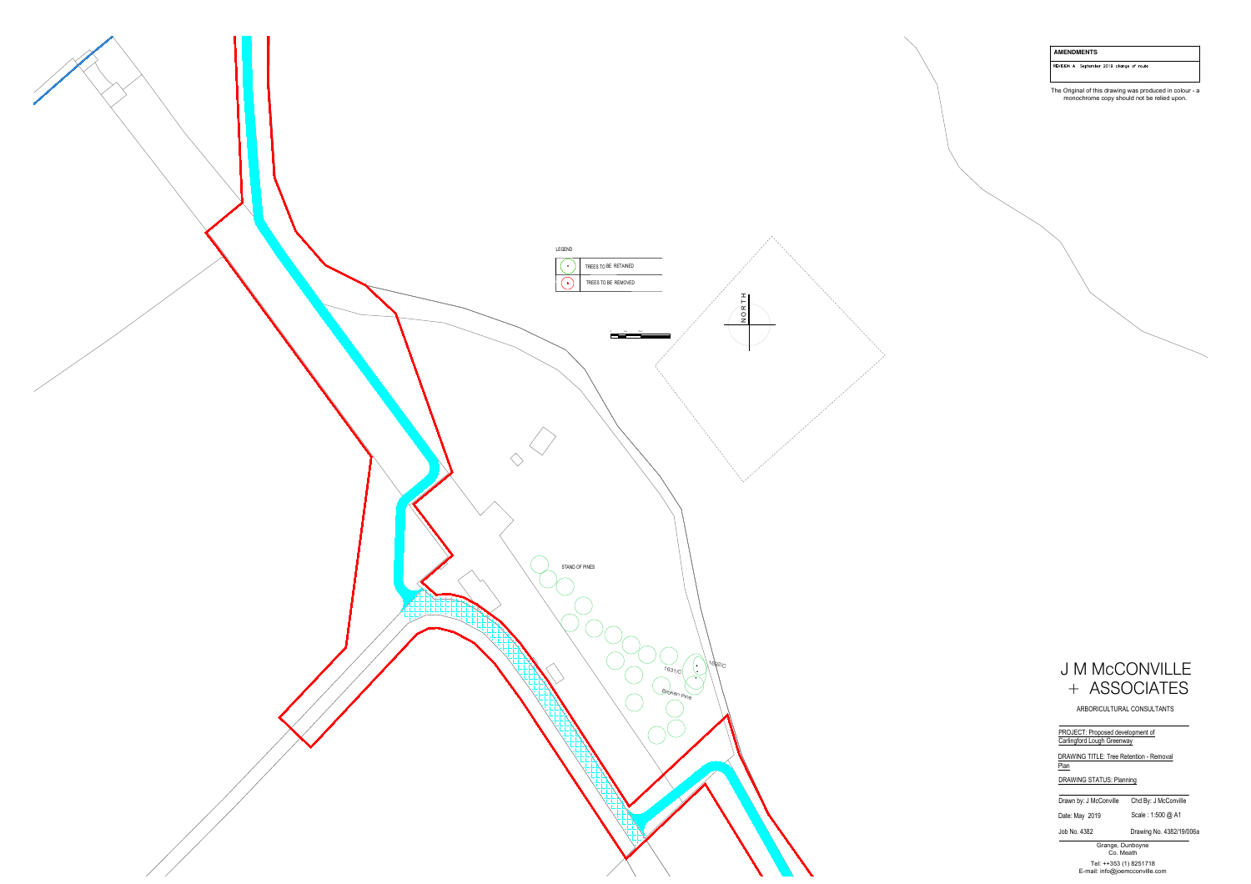![](_page_7_Picture_0.jpeg)

REVISION A September 2019 change of route

The Original of this drawing was produced in colour - a<br>monochrome copy should not be relied upon.

![](_page_7_Picture_4.jpeg)

ARBORICULTURAL CONSULTANTS<br>PROJECT: Proposed development of<br>Carlingford Lough Greenway

DRAWING TITLE: Tree Retention - Removal<br>
Plan<br>
DRAWING STATUS: Planning<br>
Drawn by: J McConville Chd By: J McConville

Date: May 2019 Scale : 1:500 @ A1<br>
Job No. 4382 Drawing No. 4382/19/006a<br>
Grange, Dunboyne<br>
Co. Meath<br>
Tel: ++353 (1) 8251718<br>
E-mail: info@joemcconville.com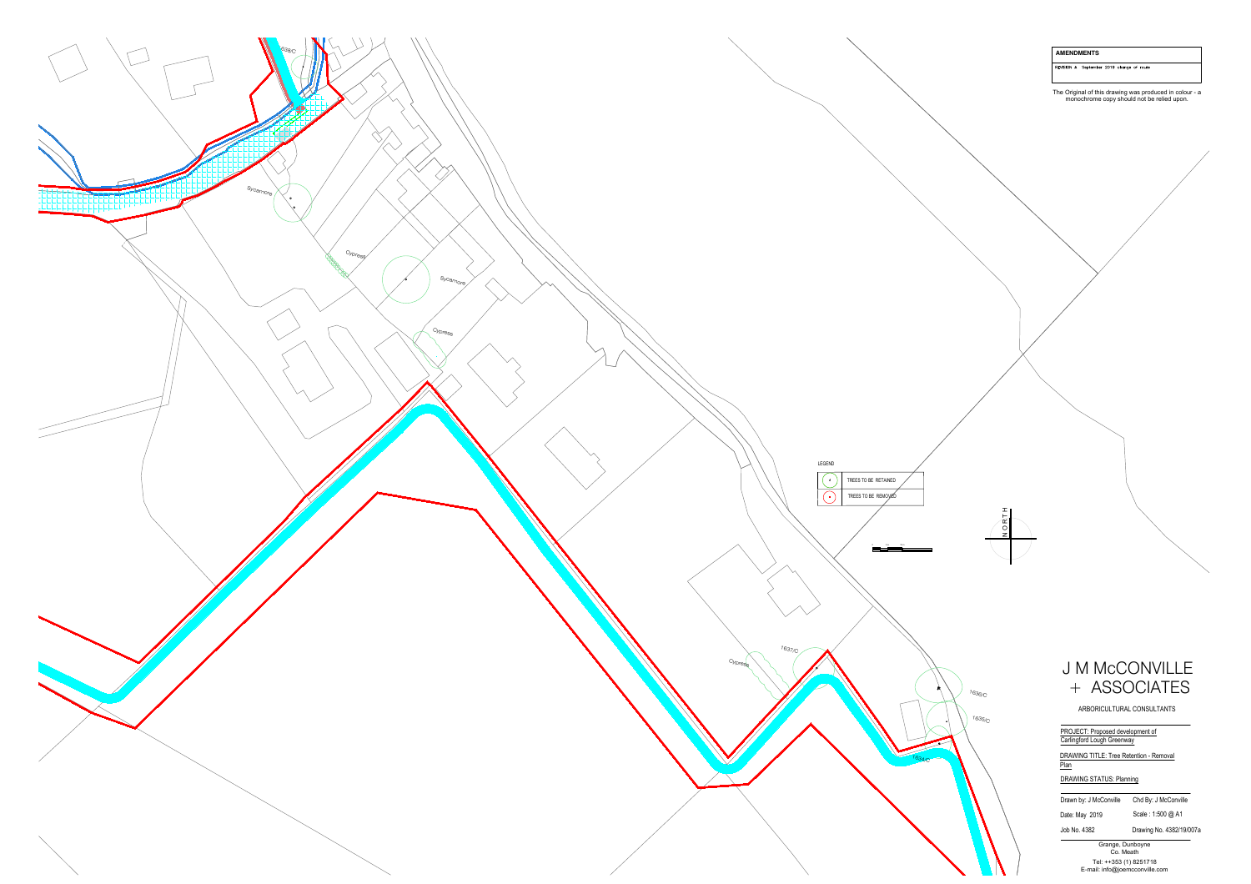![](_page_8_Figure_0.jpeg)

REVISION A September 2019 change of route

The Original of this drawing was produced in colour - a<br>monochrome copy should not be relied upon.

![](_page_8_Picture_4.jpeg)

![](_page_8_Picture_5.jpeg)

# AMENDAMENTS<br>
NEW DRAG (NOTE)<br>
The Crigorial of this distance was produced in colour - a<br>
monochrome copy should not be relied upon.<br>
ARSSO CIATES<br>
ARBOROULTURAL CONSULTANTS<br>
PROJECT: Proposed development of<br>
DRAWING STATUS

PROJECT: Proposed development of<br>
Carlingford Lough Greenway<br>
DRAWING TITLE: Tree Retention - Removal<br>
Plan<br>
DRAWING STATUS: Planning<br>
Trawn by: J McConville Chd By: J McConville

Date: May 2019 Scale : 1:500 @ A1<br>Job No. 4382 Drawing No. 4382/19/007a<br>Grange, Dunboyne<br>Co. Meath<br>Tel: ++353 (1) 8251718<br>E-mail: info@joemcconville.com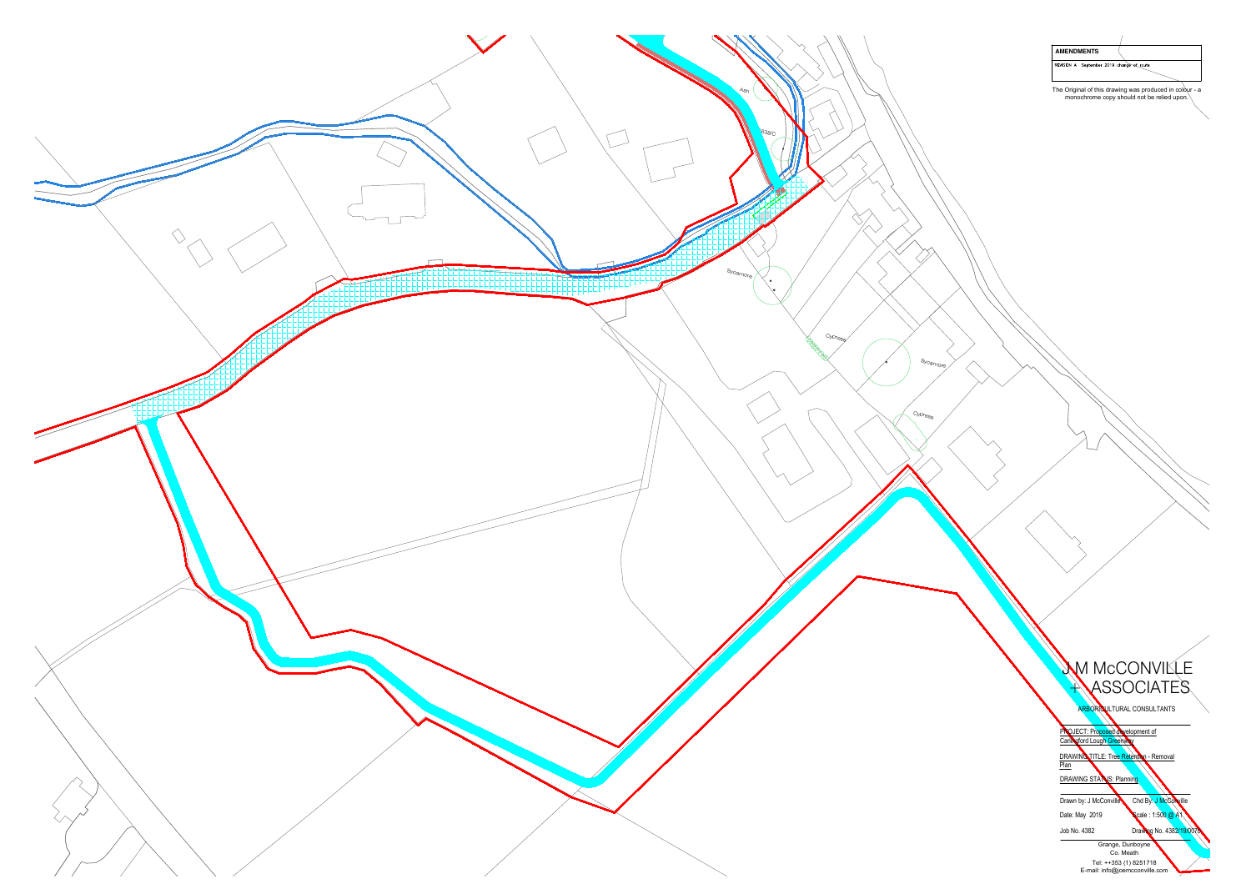![](_page_9_Figure_0.jpeg)

| <b>AMENDMENTS</b>                         |  |
|-------------------------------------------|--|
| REVISION A September 2019 change of route |  |

The Original of this drawing was produced in colour - a monochrome copy should not be relied upon.

![](_page_9_Picture_3.jpeg)

DRAWING TITLE: Tree Retention - Removal<br>
DRAWING STATUS: Planning<br>
Drawn by: J McConville Chd By: J McConville

Date: May 2019<br>
Job No. 4382<br>
Job No. 4382<br>
Grange, Dunboyne<br>
Co. Meath<br>
Tel: ++353 (1) 8251718<br>
E-mail: info@joemcconville.com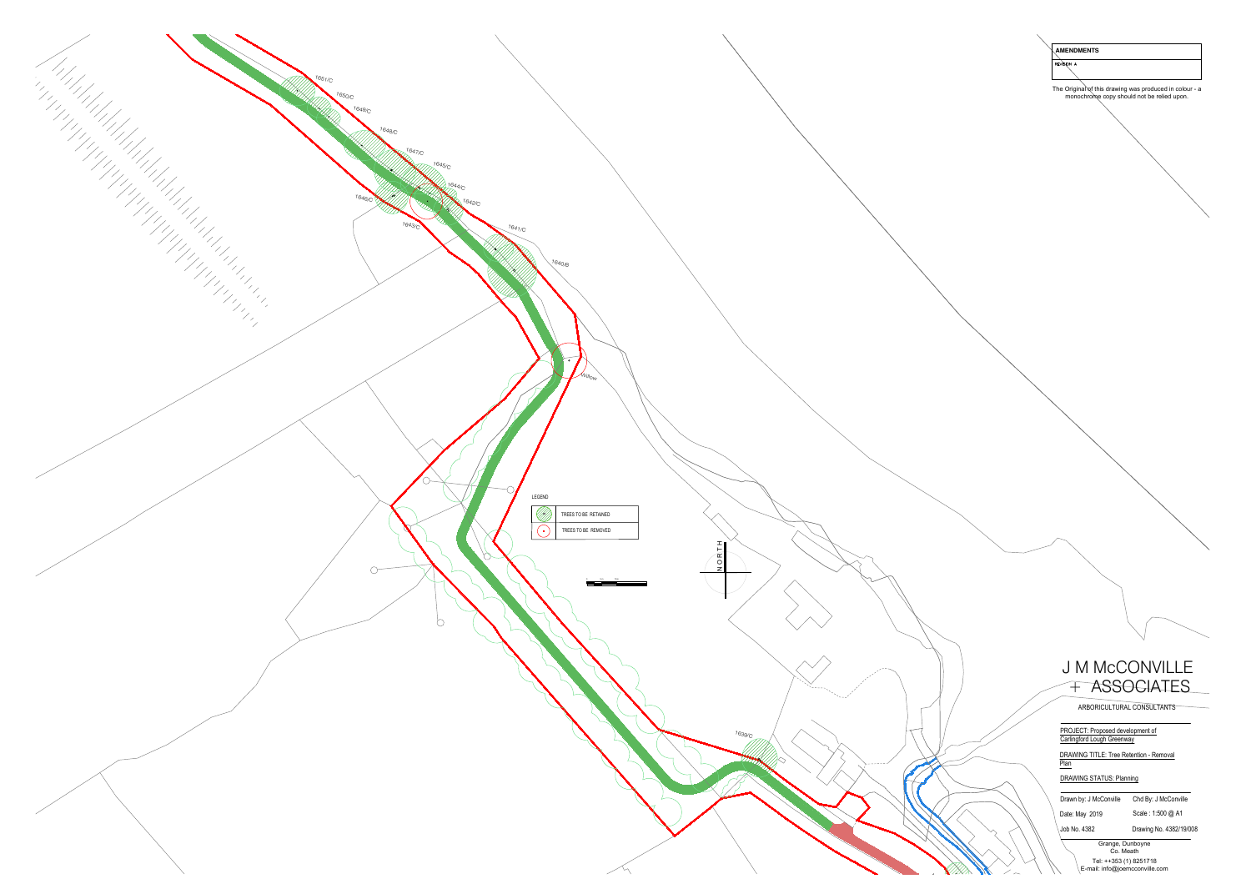![](_page_10_Figure_0.jpeg)

![](_page_10_Picture_1.jpeg)

ARBORICULTURAL CONSULTANTS<br>PROJECT: Proposed development of<br>Carlingford Lough Greenway

DRAWING TITLE: Tree Retention - Removal<br>
Plan<br>
DRAWING STATUS: Planning<br>
Drawn by: J McConville Chd By: J McConville

Date: May 2019 Scale : 1:500 @ A1<br>
Job No. 4382 Drawing No. 4382/19/008<br>
Grange, Dunboyne<br>
Co. Meath<br>
Tel: ++353 (1) 8251718<br>
E-mail: info@joemcconville.com